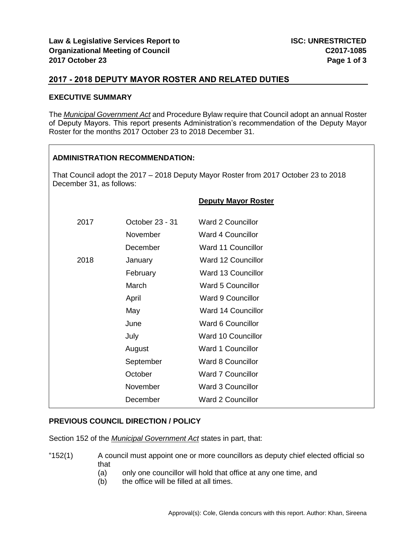# **2017 - 2018 DEPUTY MAYOR ROSTER AND RELATED DUTIES**

### **EXECUTIVE SUMMARY**

The *Municipal Government Act* and Procedure Bylaw require that Council adopt an annual Roster of Deputy Mayors. This report presents Administration's recommendation of the Deputy Mayor Roster for the months 2017 October 23 to 2018 December 31.

### **ADMINISTRATION RECOMMENDATION:**

That Council adopt the 2017 – 2018 Deputy Mayor Roster from 2017 October 23 to 2018 December 31, as follows:

| 2017 | October 23 - 31 | <b>Ward 2 Councillor</b>  |
|------|-----------------|---------------------------|
|      | November        | Ward 4 Councillor         |
|      | December        | Ward 11 Councillor        |
| 2018 | January         | <b>Ward 12 Councillor</b> |
|      | February        | Ward 13 Councillor        |
|      | March           | <b>Ward 5 Councillor</b>  |
|      | April           | <b>Ward 9 Councillor</b>  |
|      | May             | <b>Ward 14 Councillor</b> |
|      | June            | Ward 6 Councillor         |
|      | July            | Ward 10 Councillor        |
|      | August          | <b>Ward 1 Councillor</b>  |
|      | September       | Ward 8 Councillor         |
|      | October         | <b>Ward 7 Councillor</b>  |
|      | November        | Ward 3 Councillor         |
|      | December        | <b>Ward 2 Councillor</b>  |
|      |                 |                           |

### **PREVIOUS COUNCIL DIRECTION / POLICY**

Section 152 of the *Municipal Government Act* states in part, that:

- "152(1) A council must appoint one or more councillors as deputy chief elected official so that
	- (a) only one councillor will hold that office at any one time, and
	- (b) the office will be filled at all times.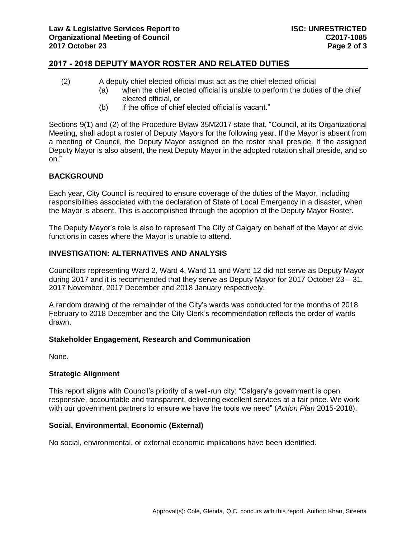# **2017 - 2018 DEPUTY MAYOR ROSTER AND RELATED DUTIES**

- (2) A deputy chief elected official must act as the chief elected official
	- (a) when the chief elected official is unable to perform the duties of the chief elected official, or
	- (b) if the office of chief elected official is vacant."

Sections 9(1) and (2) of the Procedure Bylaw 35M2017 state that, "Council, at its Organizational Meeting, shall adopt a roster of Deputy Mayors for the following year. If the Mayor is absent from a meeting of Council, the Deputy Mayor assigned on the roster shall preside. If the assigned Deputy Mayor is also absent, the next Deputy Mayor in the adopted rotation shall preside, and so on."

## **BACKGROUND**

Each year, City Council is required to ensure coverage of the duties of the Mayor, including responsibilities associated with the declaration of State of Local Emergency in a disaster, when the Mayor is absent. This is accomplished through the adoption of the Deputy Mayor Roster.

The Deputy Mayor's role is also to represent The City of Calgary on behalf of the Mayor at civic functions in cases where the Mayor is unable to attend.

## **INVESTIGATION: ALTERNATIVES AND ANALYSIS**

Councillors representing Ward 2, Ward 4, Ward 11 and Ward 12 did not serve as Deputy Mayor during 2017 and it is recommended that they serve as Deputy Mayor for 2017 October 23 – 31, 2017 November, 2017 December and 2018 January respectively.

A random drawing of the remainder of the City's wards was conducted for the months of 2018 February to 2018 December and the City Clerk's recommendation reflects the order of wards drawn.

### **Stakeholder Engagement, Research and Communication**

None.

### **Strategic Alignment**

This report aligns with Council's priority of a well-run city: "Calgary's government is open, responsive, accountable and transparent, delivering excellent services at a fair price. We work with our government partners to ensure we have the tools we need" (*Action Plan* 2015-2018).

### **Social, Environmental, Economic (External)**

No social, environmental, or external economic implications have been identified.